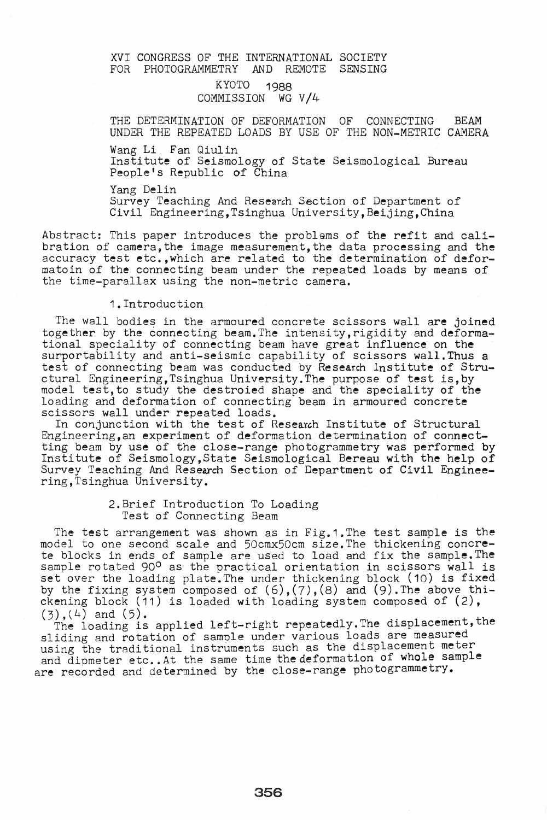### XVI CONGRESS OF THE INTERNATIONAL SOCIETY<br>FOR PHOTOGRAMMETRY AND REMOTE SENSING FOR PHOTOGRAMMETRY

## KYOTO 1988 COMMISSION WG V/4

THE DETERMINATION OF DEFORMATION OF CONNECTING BEAM UNDER THE REPEATED LOADS BY USE OF THE NON-METRIC CAMERA

Wang Li Fan Qiulin

Institute of Seismology of State Seismological Bureau People's Republic of China

Yang Delin

Survey Teaching And Research Section of Department of Civil Engineering,Tsinghua University,Beijing,China

Abstract: This paper introduces the problems of the refit and calibration of camera, the image measurement, the data processing and the accuracy test etc.,which are related to the determination of deformatoin of the connecting beam under the repeated loads by means of the time-parallax using the non-metric camera.

### 1.Introduction

The wall bodies in the armoured concrete scissors wall are joined together by the connecting beam. The intensity, rigidity and deformational speciality of connecting beam have great influence on the surportability and anti-seismic capability of scissors wall. Thus a test of connecting beam was conducted by Research lnstitute of Structural Engineering,Tsinghua University. The purpose of test is,by model test,to study the destroied shape and the speciality of the loading and deformation of connecting beam in armoured concrete scissors wall under repeated loads.

In conjunction with the test of Research Institute of Structural Engineering,an experiment of deformation determination of connectting beam by use of the close-range photogrammetry was performed by Institute of Seismology,State Seismological Bereau with the help of Survey Teaching And Research Section of Department of Civil Engineering,Tsinghua University.

### 2.Brief Introduction To Loading Test of Connecting Beam

The test arrangement was shown as in Fig.1.The test sample is the model to one second scale and 50cmx50cm size. The thickening concrete blocks in ends of sample are used to load and fix the sample. The sample rotated 90° as the practical orientation in scissors wall is sample rocaced for as the practical orientation in Solissis wall is by the fixing system composed of  $(6)$ ,  $(7)$ ,  $(8)$  and  $(9)$ . The above thickening block (11) is loaded with loading system composed of (2),

 $(3)$ ,  $(4)$  and  $(5)$ . . The loading is applied left-right repeatedly. The displacement, the sliding and rotation of sample under various loads are measured using the traditional instruments such as the displacement meter and dipmeter etc.. At the same time the deformation of whole sample are recorded and determined by the close-range photogrammetry.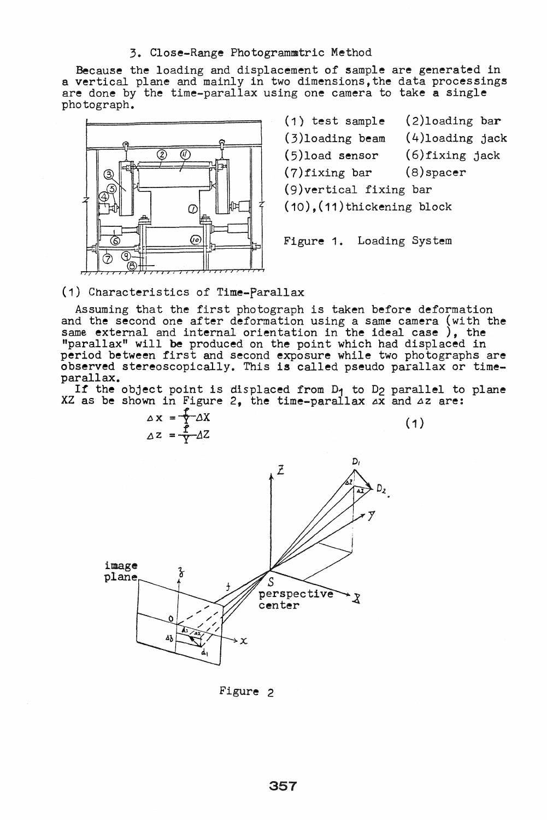#### 3. Close-Range Photogrammtric Method

Because the loading and displacement of sample are generated in a vertical plane and mainly in two dimensions, the data processings are done by the time-parallax using one camera to take a single photograph.



(1) test sample (3)loading beam (5)load sensor (7)fixing bar (2)loading bar (4)loading jack (6)fixing jack (8)spacer (9)vertical fixing bar (10),(11)thickening block

Figure 1. Loading System

## (1) Characteristics of Time-parallax

Assuming that the first photograph is taken before deformation and the second one after deformation using a same camera (with the same external and internal orientation in the ideal case), the "parallax" will be produced on the point which had displaced in period between first and second exposure while two photographs are observed stereoscopically. This is called pseudo parallax or timeparallax.

If the object point is displaced from D<sub>1</sub> to D<sub>2</sub> parallel to plane  $XZ$  as be shown in Figure 2, the time-parallax  $AX$  and  $\Delta Z$  are:

 $\Delta X = \frac{P}{L} \Delta X$  $\Delta z = \frac{1}{Y} \Delta Z$ 

 $(1)$ 



Figure 2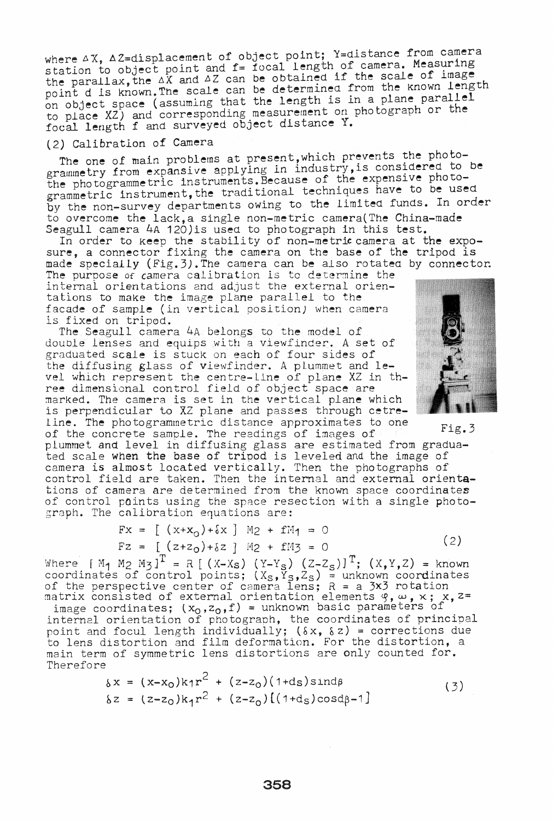where  $\triangle X$ ,  $\triangle Z$ =displacement of object point; Y=distance from camera station to object point and f= focal length of camera. Measuring the parallax, the  $\Delta X$  and  $\Delta Z$  can be obtained if the scale of image point d is known. The scale can be determined from the known length on object space (assuming that the length is in a plane parallel to place XZ) and corresponding measurement on photograph or the focal length f and surveyed object distance Y.

## (2) Calibration of Camera

The one of main problems at present, which prevents the photogrammetry from expansive applying in industry, is considered to be the photogrammetric instruments. Because of the expensive photogrammetric instrument, the traditional techniques have to be used by the non-survey departments owing to the limited funds. In order to overcome the lack,a single non-metric camera(The China-made Seagull camera 4A 120) is used to photograph in this test.

In order to keep the stability of non-metric camera at the exposure, a connector fixing the camera on the base of the tripod is made specially (Fig.3).The camera can be also rotatea by connector. The purpose of camera calibration is to determine the internal orientations and adjust the external orientations to make the image plane parallel to the

facade of sample (in vertical position) when camera is fixed on trip0d.

The Seagull camera 4A belongs to the model of double lenses and equips with a viewfinder. A set of graduated scale is stuck on each of four sides of the diffusing glass of viewfinder. A pLummet and level which represent the centre-Line of plane XZ in three dimensional control field of object space are marked. The camera is set in the vertical plane which is perpendicular to XZ plane and passes through cetreline. The photogrammetrlc distance approximates to one

of the concrete sample. The readings of images of Fig.3 plummet and level in diffusing glass are estimated from graduated scale when the base of tripod is leveled and the image of camera is almost located vertically. Then the photographs of control field are taken. Then the internal and external orientations of camera are determined from the known space coordinates of control points using the space resection with a single photograph. The calibration equations are:

$$
Fx = [ (x+x0)+\delta x ] M2 + fM1 = 0
$$
  
\n
$$
Fz = [ (z+z0)+\delta z ] M2 + fM3 = 0
$$
 (2)

Where  $[M_1 \ M_2 \ M_3]^T = R$  [(X-Xs) (Y-Y<sub>S</sub>) (Z-Z<sub>S</sub>)]<sup>T</sup>; (X,Y,Z) = known coordinates of control points;  $(X_S, Y_S, Z_S)$  = unknown coordinates of the perspective center of camera lens;  $R = a \, 3x3$  rotation of the perspective center of camera fens,  $R = a$  *j*, *j* rotation<br>matrix consisted of external orientation elements  $\varphi$ ,  $\omega$ ,  $\times$ ;  $\chi$ ,  $z$ =

image coordinates;  $(x_0, z_0, f)$  = unknown basic parameters of internal orientation of photograph, the coordinates of principal point and focul length individually; (8x, 8z) = corrections due to lens distortion and film deformation. For the distortion, a main term of symmetric lens distortions are only counted for. Therefore

$$
\delta x = (x-x_0)k_1r^2 + (z-z_0)(1+ds)\sin d\beta
$$
  
\n
$$
\delta z = (z-z_0)k_1r^2 + (z-z_0)[(1+d_s)\cos d\beta - 1]
$$
\n(3)

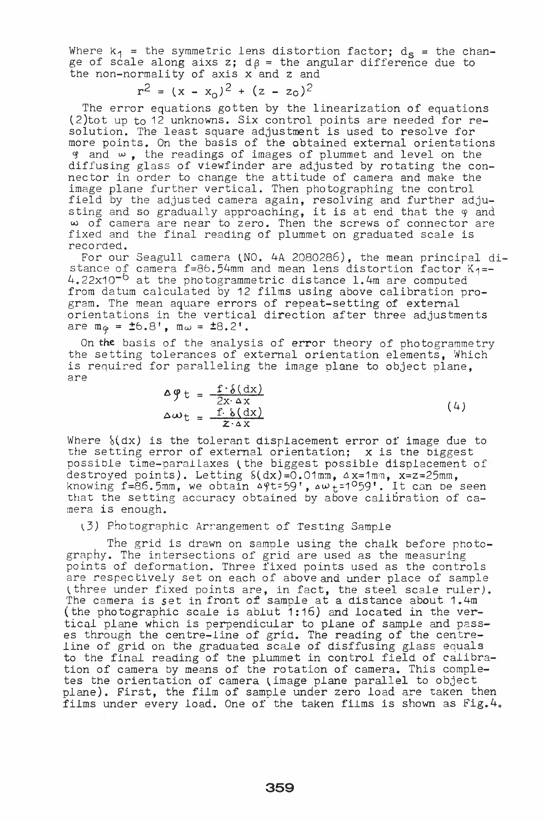Where  $k_1$  = the symmetric lens distortion factor;  $d_S$  = the change of scale along aixs z;  $d\beta$  = the angular difference due to the non-normality of axis x and z and

$$
r^2 = (x - x_0)^2 + (z - z_0)^2
$$

The error equations gotten by the linearization of equations (2)tot up to 12 unknowns. Six control points are needed for resolution. The least square adjustment is used to resolve for more points. On the basis of the obtained external orientations g and  $\omega$ , the readings of images of plummet and level on the diffusing glass of viewfinder are adjusted by rotating the connector in order to change the attitude of camera and make the image plane further vertical. Then photographing the control field by the adjusted camera again, resolving and further adjusting and so gradually approaching, it is at end that the 9 and w of camera are near to zero. Then the screws of connector are fixed and the final reading of plummet on graduated scale is

recorded.<br>For our Seagull camera (NO. 4A 2080286), the mean principal distance of camera *f=8b.54mm* and mean lens distortion factor K1=-  $4.22x10^{-6}$  at the photogrammetric distance 1.4m are computed from datum calculated by 12 films using above calibration program. The mean aquare errors of repeat-setting of external orientations in the vertical direction after three adjustments are  $m_{\varphi} = \pm 6.8'$ ,  $m_{\omega} = \pm 8.2'$ .

On the basis of the analysis of error theory of photogrammetry the setting tolerances of external orientation elements, Which is required for paralleling the image plane to object plane, are

$$
\Delta \varphi t = \frac{f \cdot \delta(dx)}{2x \cdot \Delta x}
$$
  
\n
$$
\Delta \omega t = \frac{f \cdot \delta(dx)}{z \cdot \Delta x}
$$
 (4)

Where  ${(\dx)}$  is the tolerant displacement error of image due to the setting error of external orientation; x is the biggest possible time-parallaxes (the biggest possible displacement of destroyed points). Letting  $S(dx)=0.01$ mm,  $\Delta x=1$ mm,  $x=z=25$ mm, knowing f=86.5mm, we obtain  $49$ t=59',  $40$  t=1<sup>0</sup>59'. It can be seen that the setting accuracy obtained by above calibration of camera is enough.

#### (3) Photographic Arrangement of Testing Sample

The grid is drawn on sample using the chalk before photography. The intersections of grid are used as the measuring points of deformation. Three fixed points used as the controls are respectively set on each of above and under place of sample three under fixed points are, in fact, the steel scale ruler). The camera is *set* in front of sample at a distance about 1.4m (the photographic scale is ablut 1:16) and located in the vertical plane which is perpendicular to plane of sample and passes through the centre-line of grid. The reading of the centreline of grid on the graduated scale of disffusing glass equals to the final reading of the plummet in control field of calibration of camera by means of the rotation of camera. This completes the orientation of camera (image plane parallel to object plane). First, the film of sample under zero load are taken then films under every load. One of the taken films is shown as  $Fig.4$ .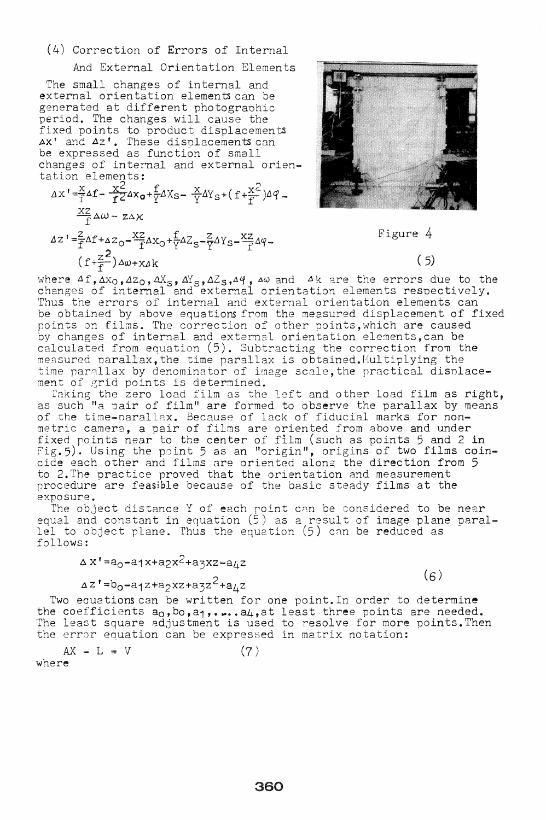## (4) Correction of Errors of Internal

And External Orientation Elements

The small changes of internal and external orientation elements can be generated at different photogranhic period. The changes will cause the fixed points to product displacements Ax' and Az'. These displacements can be expressed as function of small changes of internal and external orientation elements:

$$
\Delta x' = \frac{x}{f} \Delta f - \frac{x^2}{f^2} \Delta x_0 + \frac{f}{Y} \Delta x_0 - \frac{x}{Y} \Delta y_s + (f + \frac{x^2}{f}) \Delta \varphi - \frac{xz}{f} \Delta \omega - z \Delta x
$$
  

$$
\Delta z' = \frac{z}{f} \Delta f + \Delta z_0 - \frac{xz}{f} \Delta x_0 + \frac{f}{Y} \Delta z_s - \frac{z}{Y} \Delta y_s - \frac{xz}{f} \Delta \varphi - \frac{z}{f} \Delta z_s
$$

$$
z' = \frac{z}{f} \Delta f + \Delta z_0 - \frac{xz}{f} \Delta x_0 + \frac{f}{Y} \Delta z_s - \frac{z}{Y} \Delta Y_s - \frac{xz}{f} \Delta \varphi - (f + \frac{z^2}{f}) \Delta \omega + x \Delta k
$$



Figure 4

# $(5)$

where  $A f$ ,  $Ax_0$ ,  $Az_0$ ,  $AX_5$ ,  $AY_5$ ,  $AZ_5$ ,  $Aq$ ,  $a\omega$  and  $A$ k are the errors due to the changes of internal and external orientation elements respectively. Thus the errors of internal and external orientation elements can be obtained by above equatiom from the measured displacement of fixed points on films. The correction of other points,which are caused by changes of internal and external orientation elements, can be calculated from equation (5). Subtracting the correction from the measured parallax, the time parallax is obtained. Multiplying the time parallax by denominator of image scale, the practical displacement of 8rid points is determined.

Taking the zero load film as the left and other load film as right, as such "a pair of film" are formed to observe the parallax by means of the time-narallax. Because of lack of fiducial marks for nonmetric camera, a pair of films are oriented from above and under fixed points near to the center of film (such as points 5 and 2 in Fig.5). Using the point 5 as an "origin", origins of two films coincide each other and films are oriented along the direction from 5 to 2.The practice proved that the orientation and measurement procedure are feasible because of the basic steady films at the exposure.

The object distance Y of each roint CRn be considered to be near equal and constant in equation (5) as a result of image plane parallel to object plane. Thus the equation (5) can be reduced as follows:

$$
\Delta x' = a_0 - a_1 x + a_2 x^2 + a_3 x z - a_4 z
$$

 $(6)$ 

 $a^z'$ =b<sub>o</sub>-a<sub>1</sub>z+a<sub>2</sub>xz+a3z<sup>2</sup>+a<sub>4</sub>z Two equations can be written for one point. In order to determine the coefficients a<sub>0</sub>, b<sub>o</sub>,a<sub>1</sub>,.... a<sub>4</sub>,at least three points are needed. The least square adjustment is used to resolve for *more* points. Then the error equation can be expressed in matrix notation:

 $AX - L = V$  $(7)$ where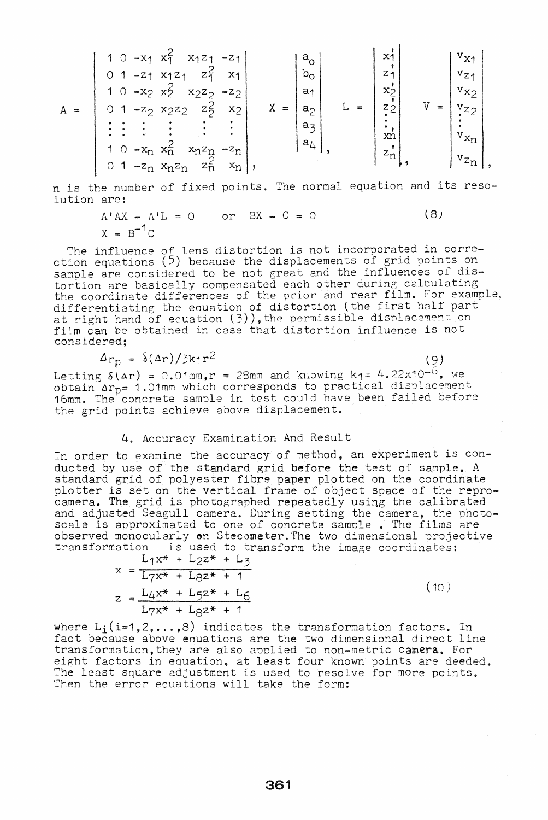|   | $x_1^2$ $x_1z_1$<br>$-XA$                                                   |                     | $V_{X1}$<br>X1             |
|---|-----------------------------------------------------------------------------|---------------------|----------------------------|
|   | $-Z1$<br>$Z_{\mathcal{I}}^{\mathcal{L}}$<br>X <sub>1</sub><br>X1Z1<br>$-Z1$ | $a_{\rm o}$<br>ხი   | $v_{Z4}$<br>2 <sub>1</sub> |
|   | 1 <sup>0</sup><br>$-x_2$ $x_2$<br>$x_2z_2$<br>$-z_2$                        | a <sub>1</sub>      | $v_{X2}$<br>XÒ             |
| А | $x_2$<br>$z_{2}$<br>$-z_2$ $x_2z_2$                                         | $X =$<br>$a_2$<br>≈ | $z_2$<br>yz2               |
|   |                                                                             | $a_{\mathbf{z}}$    |                            |
|   |                                                                             | а,                  | $v_{x_n}$<br>xn            |
|   | $1^\circ$ O<br>$-z_{n}$<br>$x_nz_n$                                         |                     | $z_n$<br>$v_{z_{n}}$       |
|   | $z_{\rm n}$<br>$x_n$<br>$-z_n$ $x_nz_n$                                     |                     |                            |

n is the number of fixed points. The normal equation and its resolution are:

> $A'AX - A'L = 0$  or  $BX - C = 0$  (8)  $X = B^{-1}C$

The influence of lens distortion is not incorporated in correction equations  $(5)$  because the displacements of grid points on sample are considered to be not great and the influences of distortion are basically compensated each other during calculating the coordinate differences of the prior and rear film. For example, differentiating the equation of distortion (the first half part at right hand of equation (3)), the permissible displacement on fitm can be obtained in case that distortion influence is not considered;

$$
\Delta_{r_D} = \delta(\Delta r)/3k_1r^2 \tag{9}
$$

Letting  $\delta(\Delta r) = 0.01$ mm,r = 28mm and knowing k<sub>1</sub>= 4.22x10<sup>-0</sup>, we obtain  $\Delta r_{p}= 1.01$ mm which corresponds to practical displacement 16mm. The concrete sample in test could have been failed before the grid points achieve above displacement.

#### 4. Accuracy Examination And Result

In order to examine the accuracy of method, an experiment is conducted by use of the standard grid before the test of sample. A standard grid of polyester fibre paper plotted on the coordinate plotter is set on the vertical frame of object space of the reproproceed is see on the vertical frame of object space of the repreand adjusted Seagull camera. During setting the camera, the photoscale is approximated to one of concrete sample. The films are observed monocularly on Stecometer. The two dimensional projective transformation is used to transform the image coordinates:

$$
x = \frac{L_1 x^* + L_2 z^* + L_3}{L_7 x^* + L_8 z^* + 1}
$$
  
\n
$$
z = \frac{L_4 x^* + L_5 z^* + L_6}{L_7 x^* + L_8 z^* + 1}
$$
 (10)

where  $L_i(i=1,2,\ldots,8)$  indicates the transformation factors. In fact because above eauations are the two dimensional direct line transformation, they are also applied to non-metric camera. For eight factors in eauation, at least four known points are deeded. The least square adjustment is used to resolve for more points. Then the error eauations will take the form: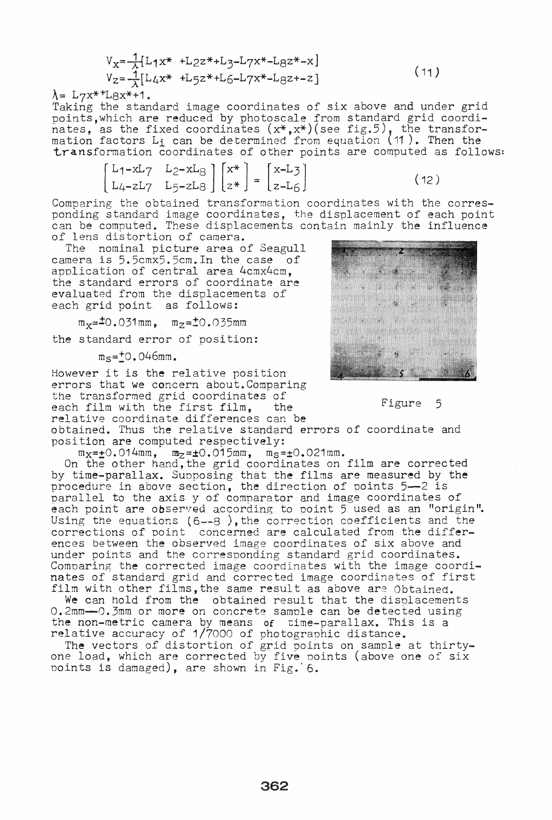$$
V_{x} = \frac{1}{\lambda} [L_1 x^* + L_2 z^* + L_3 - L_7 x^* - L_8 z^* - x]
$$
  
\n
$$
V_{z} = \frac{1}{\lambda} [L_4 x^* + L_5 z^* + L_6 - L_7 x^* - L_8 z^* - z]
$$

 $\lambda =$  L7x<sup>\*+</sup>L8x<sup>\*</sup>+1.

Taking the standard image coordinates of six above and under grid points,which are reduced by photoscale from standard grid coordinates, as the fixed coordinates  $(x*,x*)$  (see fig.5), the transformation factors  $L_i$  can be determined from equation (11). Then the transformation coordinates of other points are computed as follows:

 $\begin{bmatrix} L_1 - xL_7 & L_2 - xL_8 \ L_4 - zL_7 & L_5 - zL_8 \end{bmatrix} \begin{bmatrix} x^* \ z^* \end{bmatrix} = \begin{bmatrix} x - L_3 \ z - L_6 \end{bmatrix}$  (12)

Comparing the obtained transformation coordinates with the corresponding standard image coordinates, the displacement of each point can be computed. These displacements contain mainly the influence of lens distortion of camera.

The nominal picture area of Seagull camera is 5.5cmx5.5cm.In the case of application of central area 4cmx4cm, the standard errors of coordinate are evaluated from the displacements of each grid point as follows:

 $m_x=10.031$ mm,  $m_z=10.035$ mm

the standard error of position:

 $m_{\rm s}$ = $+$ 0.046mm.

However it is the relative position errors that we concern about. Comparing the transformed grid coordinates of each film with the first film, the Figure 5 relative coordinate differences can be

obtained. Thus the relative standard errors of coordinate and position are computed respectively:

 $m_X = \pm 0.014$ mm,  $m_Z = \pm 0.015$ mm,  $m_S = \pm 0.021$ mm.

On the other hand, the grid coordinates on film are corrected by time-parallax. Suoposing that the films are measured by the procedure in above section, the direction of points 5-2 is parallel to the axis y of comparator and image coordinates of each point are observed according to point 5 used as an "origin". Using the equations  $(6--8)$ , the correction coefficients and the corrections of point concerned are calculated from the differences between *the* observed image coordinates of six above and under points and the corresponding standard grid coordinates. Comnaring the corrected image coordinates with the image coordinates of standard grid and corrected image coordinates of first film with other films,the same result as above are Obtained.

We can hold from the obtained result that the displacements O.2mm-O.3mm or more on concrete sample can be detected using the non-metric camera by means of time-parallax. This is a relative accuracy of 1/7000 of photograohic distance.

The vectors of distortion of grid points on sample at thirtyone load, which are corrected by five points (above one of six Doints is damaged), are shown in Fig.' 6.

|  |               |  |             | <b>THE CONSTRUCTION</b> |
|--|---------------|--|-------------|-------------------------|
|  | <u> e a l</u> |  | <u>e gr</u> |                         |
|  |               |  |             |                         |
|  | 77            |  |             |                         |
|  |               |  |             |                         |
|  |               |  |             |                         |
|  |               |  |             |                         |
|  | ŲB            |  |             |                         |
|  |               |  |             |                         |
|  |               |  |             |                         |

 $(11)$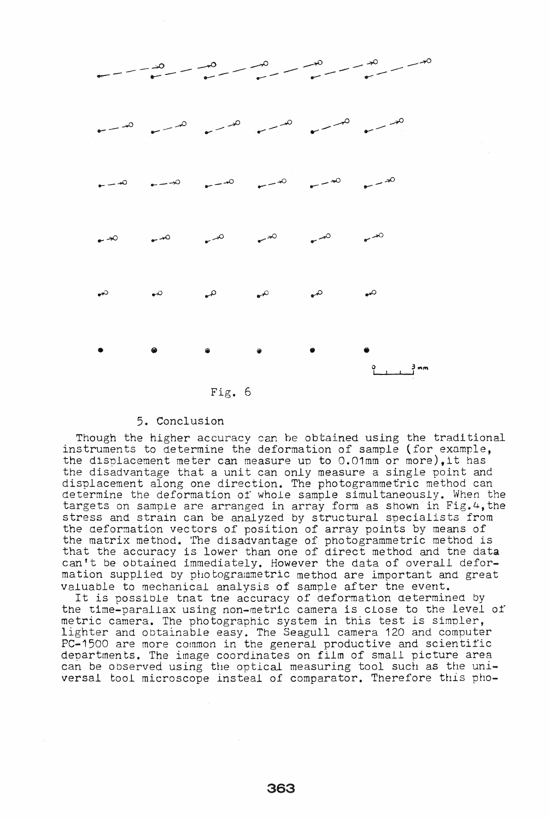

#### 5. Conclusion

Though the higher accuracy can be obtained using the traditional instruments to determine the deformation of sample (for example, the displacement meter can measure un to O.01mm'or more),it has the disadvantage that a unit can only measure a single point and displacement along one direction. The photogrammetric method can determine the deforma tion 01' whole sample simul taneously. When the targets on sample are arranged in array form as shown in Fig. 4, the stress and strain can be analyzed by structural specialists from the deformation vectors of position of array points by means of the matrix method. The disadvantage of photogrammetric method is that the accuracy is lower than one of direct method and the datacan't be obtained immediately. However the data of overall deformation supplied by photograrnmetric method are important and great valuable to mechanical analysis of sample after tne event.

It is possible tnat tne accuracy of deformation determined by the time-parallax using non-metric camera is close to the level of metric camera. The photographic system in this test is simpler, lighter and obtainable easy\_ The Seagull camera 120 and computer PC-1500 are more common in the general productive and scientific departments. The image coordinates on film of small picture area can be observed using the optical measuring tool such as the universal tool microscope insteal of comparator. Therefore this pho